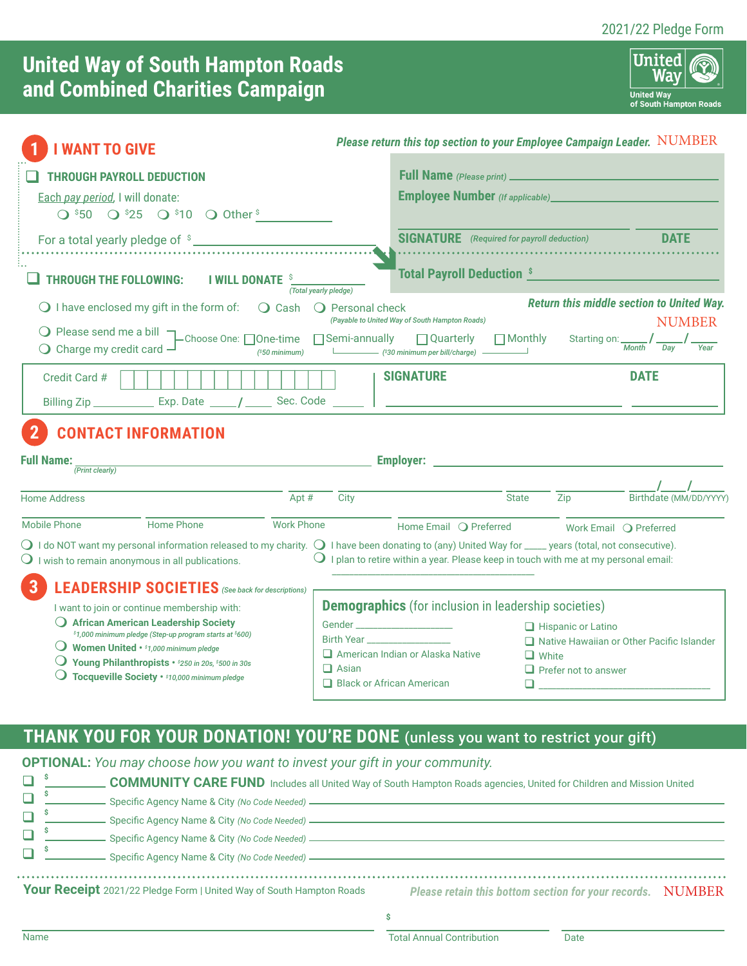### 2021/22 Pledge Form

## **United Way of South Hampton Roads and Combined Charities Campaign**



| <b>I WANT TO GIVE</b>                                                                                                                                                                                                                                                                                                     | Please return this top section to your Employee Campaign Leader. NUMBER                                                                                                                             |                                                                                                                                    |
|---------------------------------------------------------------------------------------------------------------------------------------------------------------------------------------------------------------------------------------------------------------------------------------------------------------------------|-----------------------------------------------------------------------------------------------------------------------------------------------------------------------------------------------------|------------------------------------------------------------------------------------------------------------------------------------|
| <b>THROUGH PAYROLL DEDUCTION</b>                                                                                                                                                                                                                                                                                          |                                                                                                                                                                                                     |                                                                                                                                    |
| Each pay period, I will donate:<br>$Q$ \$50 $Q$ \$25 $Q$ \$10 $Q$ Other \$                                                                                                                                                                                                                                                | <b>Employee Number</b> (If applicable) <b>CONVICTS</b>                                                                                                                                              |                                                                                                                                    |
|                                                                                                                                                                                                                                                                                                                           | <b>SIGNATURE</b> (Required for payroll deduction)                                                                                                                                                   | <b>DATE</b>                                                                                                                        |
| <b>THROUGH THE FOLLOWING:</b><br><b>I WILL DONATE S</b>                                                                                                                                                                                                                                                                   | <b>Total Payroll Deduction \$</b><br>(Total yearly pledge)                                                                                                                                          |                                                                                                                                    |
| $\bigcirc$ I have enclosed my gift in the form of:<br>$\bigcirc$ Cash<br>$\bigcirc$ Please send me a bill $\bigcirc$ Choose One: $\bigcirc$ One-time $\bigcirc$ Semi-annually $\bigcirc$ Quarterly<br>$\bigcirc$ Charge my credit card -<br>$(*50$ minimum)                                                               | $\bigcirc$ Personal check<br>(Payable to United Way of South Hampton Roads)<br>$\Box$ Monthly<br>(\$30 minimum per bill/charge)                                                                     | <b>Return this middle section to United Way.</b><br><b>NUMBER</b><br>Starting on: $\frac{1}{M_0}$ $\frac{1}{Dav}$ $\frac{1}{Year}$ |
| Credit Card #                                                                                                                                                                                                                                                                                                             | <b>SIGNATURE</b>                                                                                                                                                                                    | <b>DATE</b>                                                                                                                        |
| <b>CONTACT INFORMATION</b><br><b>Full Name:</b><br><u> 1989 - Johann Stein, mars an de Brasilia (b. 19</u><br>(Print clearly)                                                                                                                                                                                             | Employer: North Commission and Commission and Commission and Commission and Commission and Commission and Comm                                                                                      |                                                                                                                                    |
| Apt #<br>Home Address                                                                                                                                                                                                                                                                                                     | State<br>City                                                                                                                                                                                       | Birthdate (MM/DD/YYYY<br>Zip                                                                                                       |
| <b>Mobile Phone</b><br>Home Phone<br><b>Work Phone</b>                                                                                                                                                                                                                                                                    | Home Email O Preferred                                                                                                                                                                              | Work Email O Preferred                                                                                                             |
| $\bigcirc$ I do NOT want my personal information released to my charity. $\bigcirc$ I have been donating to (any) United Way for ____ years (total, not consecutive).<br>$\bigcirc$ I wish to remain anonymous in all publications.                                                                                       | I plan to retire within a year. Please keep in touch with me at my personal email:                                                                                                                  |                                                                                                                                    |
| <b>LEADERSHIP SOCIETIES</b> (See back for descriptions)                                                                                                                                                                                                                                                                   |                                                                                                                                                                                                     |                                                                                                                                    |
| I want to join or continue membership with:<br>$\bigcirc$ African American Leadership Society<br>\$1,000 minimum pledge (Step-up program starts at \$600)<br>$\bigcup$ Women United $\cdot$ \$1,000 minimum pledge<br>Young Philanthropists • \$250 in 20s, \$500 in 30s<br>Tocqueville Society • \$10,000 minimum pledge | <b>Demographics</b> (for inclusion in leadership societies)<br>Gender _________________________<br>$\Box$ American Indian or Alaska Native<br>$\Box$ Asian<br>$\Box$ Black or African American<br>❏ | Hispanic or Latino<br>Native Hawaiian or Other Pacific Islander<br>$\Box$ White<br>$\Box$ Prefer not to answer                     |

## **THANK YOU FOR YOUR DONATION! YOU'RE DONE** (unless you want to restrict your gift)

|  | <b>OPTIONAL:</b> You may choose how you want to invest your gift in your community.                                                |  |
|--|------------------------------------------------------------------------------------------------------------------------------------|--|
|  | . COMMUNITY CARE FUND Includes all United Way of South Hampton Roads agencies, United for Children and Mission United              |  |
|  |                                                                                                                                    |  |
|  | - Specific Agency Name & City (No Code Needed) - Specific Agency Name & City (No Code Needed)                                      |  |
|  | Specific Agency Name & City (No Code Needed) ______________                                                                        |  |
|  | Specific Agency Name & City (No Code Needed) -                                                                                     |  |
|  |                                                                                                                                    |  |
|  | Your Receipt 2021/22 Pledge Form   United Way of South Hampton Roads<br>Please retain this bottom section for your records. NUMBER |  |

**\$**